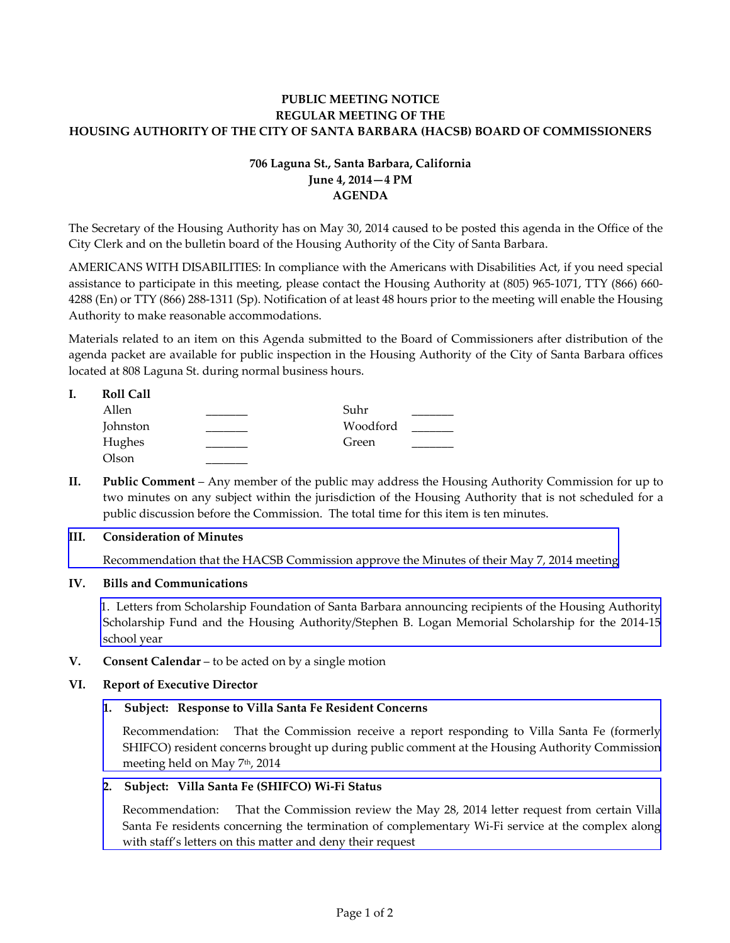# **PUBLIC MEETING NOTICE REGULAR MEETING OF THE HOUSING AUTHORITY OF THE CITY OF SANTA BARBARA (HACSB) BOARD OF COMMISSIONERS**

# **706 Laguna St., Santa Barbara, California June 4, 2014—4 PM AGENDA**

The Secretary of the Housing Authority has on May 30, 2014 caused to be posted this agenda in the Office of the City Clerk and on the bulletin board of the Housing Authority of the City of Santa Barbara.

AMERICANS WITH DISABILITIES: In compliance with the Americans with Disabilities Act, if you need special assistance to participate in this meeting, please contact the Housing Authority at (805) 965-1071, TTY (866) 660- 4288 (En) or TTY (866) 288-1311 (Sp). Notification of at least 48 hours prior to the meeting will enable the Housing Authority to make reasonable accommodations.

Materials related to an item on this Agenda submitted to the Board of Commissioners after distribution of the agenda packet are available for public inspection in the Housing Authority of the City of Santa Barbara offices located at 808 Laguna St. during normal business hours.

### **I. Roll Call**

| Allen    | Suhr     |  |
|----------|----------|--|
| Johnston | Woodford |  |
| Hughes   | Green    |  |
| Olson    |          |  |

**II. Public Comment** – Any member of the public may address the Housing Authority Commission for up to two minutes on any subject within the jurisdiction of the Housing Authority that is not scheduled for a public discussion before the Commission. The total time for this item is ten minutes.

# **III. Consideration of Minutes**

[Recommendation that the HACSB Commission approve the Minutes of their May 7, 2014 meeting](http://www.hacsb.org/Library/agendas_minutes/2014/agenda_packet/Agenda_Packet_2014_06_04/item_III_I_2014_06_04.pdf) 

# **IV. Bills and Communications**

[1. Letters from Scholarship Foundation of Santa Barbara announcing recipients of the Housing Authority](http://www.hacsb.org/Library/agendas_minutes/2014/agenda_packet/Agenda_Packet_2014_06_04/item_IV_I_2014_06_04.pdf) Scholarship Fund and the Housing Authority/Stephen B. Logan Memorial Scholarship for the 2014-15 school year

**V. Consent Calendar** – to be acted on by a single motion

# **VI. Report of Executive Director**

# **1. Subject: Response to Villa Santa Fe Resident Concerns**

Recommendation: That the Commission receive a report responding to Villa Santa Fe (formerly [SHIFCO\) resident concerns brought up during public comment at the Housing Authority Commission](http://www.hacsb.org/Library/agendas_minutes/2014/agenda_packet/Agenda_Packet_2014_06_04/item_VI_I_2014_06_04b.pdf)  meeting held on May 7<sup>th</sup>, 2014

# **2. Subject: Villa Santa Fe (SHIFCO) Wi-Fi Status**

[Recommendation: That the Commission review the May 28, 2014 letter request from certain Villa](http://www.hacsb.org/Library/agendas_minutes/2014/agenda_packet/Agenda_Packet_2014_06_04/item_VI_II_2014_06_04b.pdf) Santa Fe residents concerning the termination of complementary Wi-Fi service at the complex along with staff's letters on this matter and deny their request